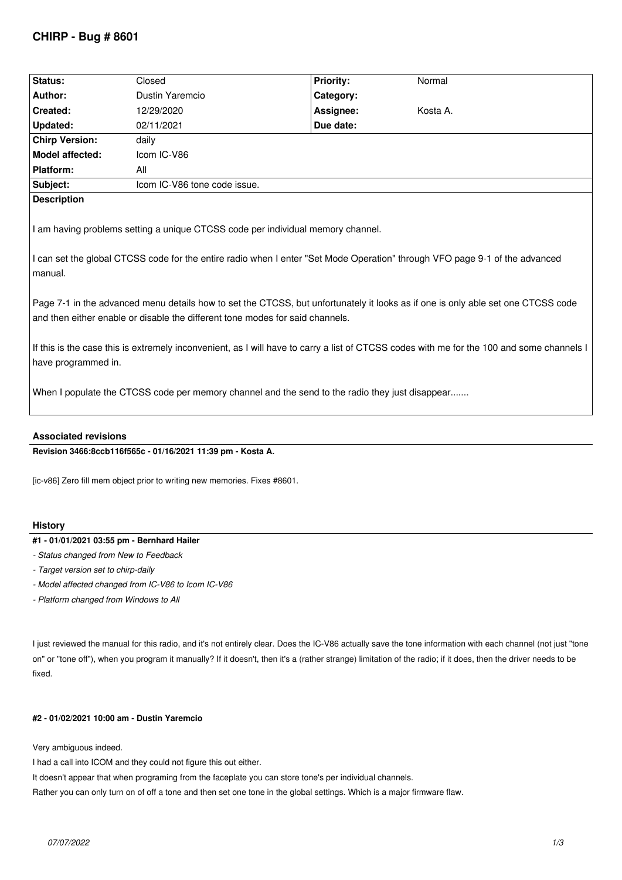# **CHIRP - Bug # 8601**

| Status:                                                                                                                                                                                                                                                                                                                                                                                                                                                                                                                                                                                                                                                                                                                 | Closed                       | <b>Priority:</b> | Normal   |
|-------------------------------------------------------------------------------------------------------------------------------------------------------------------------------------------------------------------------------------------------------------------------------------------------------------------------------------------------------------------------------------------------------------------------------------------------------------------------------------------------------------------------------------------------------------------------------------------------------------------------------------------------------------------------------------------------------------------------|------------------------------|------------------|----------|
| <b>Author:</b>                                                                                                                                                                                                                                                                                                                                                                                                                                                                                                                                                                                                                                                                                                          | Dustin Yaremcio              | Category:        |          |
| Created:                                                                                                                                                                                                                                                                                                                                                                                                                                                                                                                                                                                                                                                                                                                | 12/29/2020                   | Assignee:        | Kosta A. |
| <b>Updated:</b>                                                                                                                                                                                                                                                                                                                                                                                                                                                                                                                                                                                                                                                                                                         | 02/11/2021                   | Due date:        |          |
| <b>Chirp Version:</b>                                                                                                                                                                                                                                                                                                                                                                                                                                                                                                                                                                                                                                                                                                   | daily                        |                  |          |
| Model affected:                                                                                                                                                                                                                                                                                                                                                                                                                                                                                                                                                                                                                                                                                                         | Icom IC-V86                  |                  |          |
| <b>Platform:</b>                                                                                                                                                                                                                                                                                                                                                                                                                                                                                                                                                                                                                                                                                                        | All                          |                  |          |
| Subject:                                                                                                                                                                                                                                                                                                                                                                                                                                                                                                                                                                                                                                                                                                                | Icom IC-V86 tone code issue. |                  |          |
| <b>Description</b>                                                                                                                                                                                                                                                                                                                                                                                                                                                                                                                                                                                                                                                                                                      |                              |                  |          |
| I am having problems setting a unique CTCSS code per individual memory channel.<br>I can set the global CTCSS code for the entire radio when I enter "Set Mode Operation" through VFO page 9-1 of the advanced<br>l manual.<br>Page 7-1 in the advanced menu details how to set the CTCSS, but unfortunately it looks as if one is only able set one CTCSS code<br>and then either enable or disable the different tone modes for said channels.<br>If this is the case this is extremely inconvenient, as I will have to carry a list of CTCSS codes with me for the 100 and some channels I<br>have programmed in.<br>When I populate the CTCSS code per memory channel and the send to the radio they just disappear |                              |                  |          |

## **Associated revisions**

## **Revision 3466:8ccb116f565c - 01/16/2021 11:39 pm - Kosta A.**

*[ic-v86] Zero fill mem object prior to writing new memories. Fixes #8601.*

#### **History**

# **#1 - 01/01/2021 03:55 pm - Bernhard Hailer**

- *Status changed from New to Feedback*
- *Target version set to chirp-daily*
- *Model affected changed from IC-V86 to Icom IC-V86*
- *Platform changed from Windows to All*

*I just reviewed the manual for this radio, and it's not entirely clear. Does the IC-V86 actually save the tone information with each channel (not just "tone on" or "tone off"), when you program it manually? If it doesn't, then it's a (rather strange) limitation of the radio; if it does, then the driver needs to be fixed.*

# **#2 - 01/02/2021 10:00 am - Dustin Yaremcio**

*Very ambiguous indeed.* 

*I had a call into ICOM and they could not figure this out either.* 

*It doesn't appear that when programing from the faceplate you can store tone's per individual channels.* 

*Rather you can only turn on of off a tone and then set one tone in the global settings. Which is a major firmware flaw.*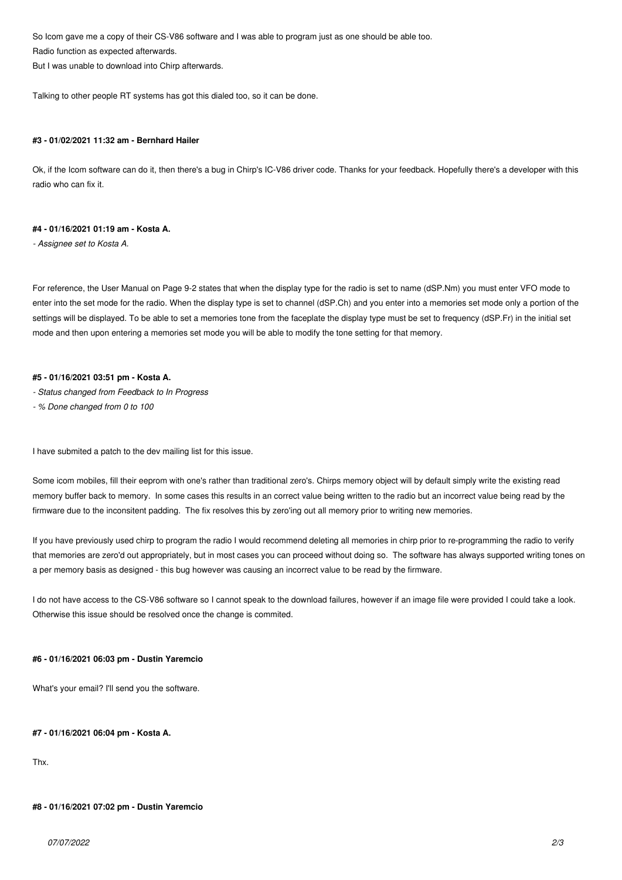*So Icom gave me a copy of their CS-V86 software and I was able to program just as one should be able too. Radio function as expected afterwards.* 

*But I was unable to download into Chirp afterwards.*

*Talking to other people RT systems has got this dialed too, so it can be done.*

#### **#3 - 01/02/2021 11:32 am - Bernhard Hailer**

*Ok, if the Icom software can do it, then there's a bug in Chirp's IC-V86 driver code. Thanks for your feedback. Hopefully there's a developer with this radio who can fix it.*

### **#4 - 01/16/2021 01:19 am - Kosta A.**

*- Assignee set to Kosta A.*

*For reference, the User Manual on Page 9-2 states that when the display type for the radio is set to name (dSP.Nm) you must enter VFO mode to enter into the set mode for the radio. When the display type is set to channel (dSP.Ch) and you enter into a memories set mode only a portion of the settings will be displayed. To be able to set a memories tone from the faceplate the display type must be set to frequency (dSP.Fr) in the initial set mode and then upon entering a memories set mode you will be able to modify the tone setting for that memory.*

#### **#5 - 01/16/2021 03:51 pm - Kosta A.**

- *Status changed from Feedback to In Progress*
- *% Done changed from 0 to 100*

*I have submited a patch to the dev mailing list for this issue.*

*Some icom mobiles, fill their eeprom with one's rather than traditional zero's. Chirps memory object will by default simply write the existing read memory buffer back to memory. In some cases this results in an correct value being written to the radio but an incorrect value being read by the firmware due to the inconsitent padding. The fix resolves this by zero'ing out all memory prior to writing new memories.*

*If you have previously used chirp to program the radio I would recommend deleting all memories in chirp prior to re-programming the radio to verify that memories are zero'd out appropriately, but in most cases you can proceed without doing so. The software has always supported writing tones on a per memory basis as designed - this bug however was causing an incorrect value to be read by the firmware.*

I do not have access to the CS-V86 software so I cannot speak to the download failures, however if an image file were provided I could take a look. *Otherwise this issue should be resolved once the change is commited.*

#### **#6 - 01/16/2021 06:03 pm - Dustin Yaremcio**

*What's your email? I'll send you the software.*

#### **#7 - 01/16/2021 06:04 pm - Kosta A.**

*Thx.*

#### **#8 - 01/16/2021 07:02 pm - Dustin Yaremcio**